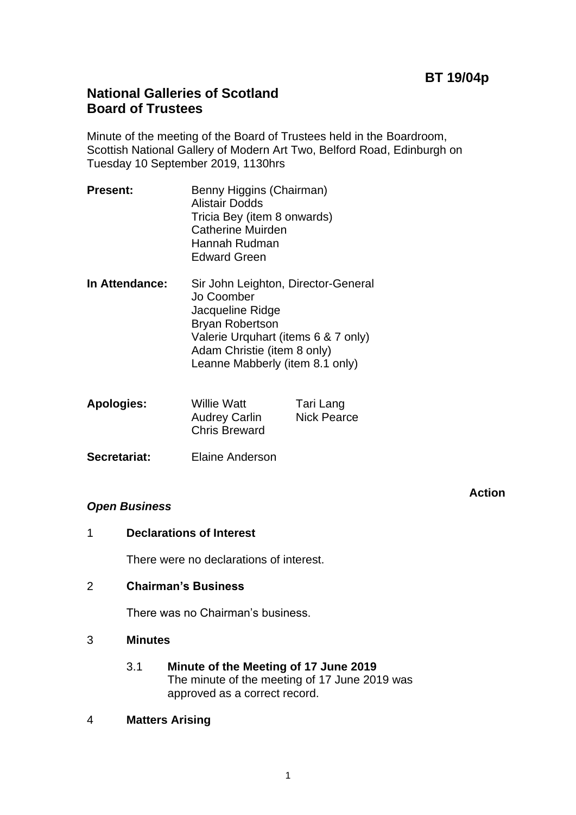# **BT 19/04p**

## **National Galleries of Scotland Board of Trustees**

Minute of the meeting of the Board of Trustees held in the Boardroom, Scottish National Gallery of Modern Art Two, Belford Road, Edinburgh on Tuesday 10 September 2019, 1130hrs

- **Present:** Benny Higgins (Chairman) Alistair Dodds Tricia Bey (item 8 onwards) Catherine Muirden Hannah Rudman Edward Green
- **In Attendance:** Sir John Leighton, Director-General Jo Coomber Jacqueline Ridge Bryan Robertson Valerie Urquhart (items 6 & 7 only) Adam Christie (item 8 only) Leanne Mabberly (item 8.1 only)

| <b>Apologies:</b> | <b>Willie Watt</b>   | Tari Lang          |
|-------------------|----------------------|--------------------|
|                   | <b>Audrey Carlin</b> | <b>Nick Pearce</b> |
|                   | <b>Chris Breward</b> |                    |

**Secretariat:** Elaine Anderson

## *Open Business*

**Action**

1 **Declarations of Interest**

There were no declarations of interest.

2 **Chairman's Business**

There was no Chairman's business.

- 3 **Minutes**
	- 3.1 **Minute of the Meeting of 17 June 2019** The minute of the meeting of 17 June 2019 was approved as a correct record.
- 4 **Matters Arising**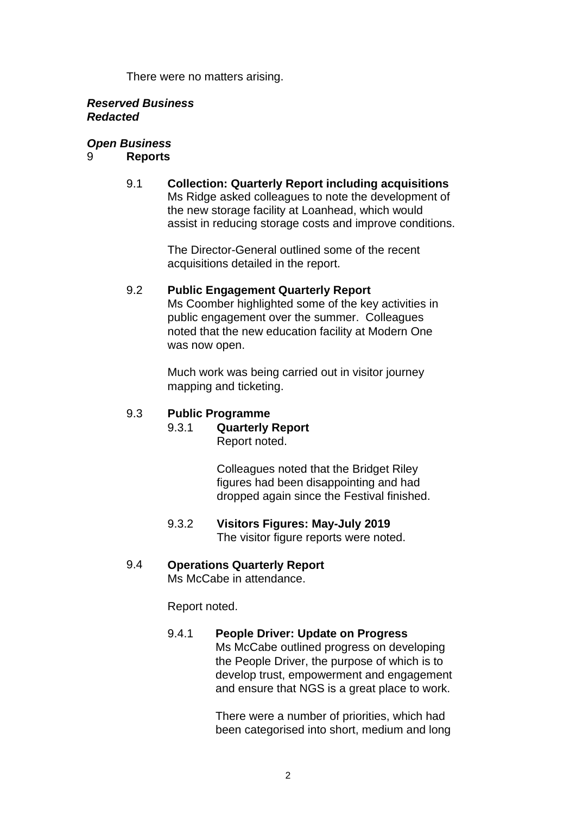There were no matters arising.

#### *Reserved Business Redacted*

## *Open Business*

## 9 **Reports**

9.1 **Collection: Quarterly Report including acquisitions** Ms Ridge asked colleagues to note the development of the new storage facility at Loanhead, which would assist in reducing storage costs and improve conditions.

> The Director-General outlined some of the recent acquisitions detailed in the report.

## 9.2 **Public Engagement Quarterly Report**

Ms Coomber highlighted some of the key activities in public engagement over the summer. Colleagues noted that the new education facility at Modern One was now open.

Much work was being carried out in visitor journey mapping and ticketing.

## 9.3 **Public Programme**

# 9.3.1 **Quarterly Report**

Report noted.

Colleagues noted that the Bridget Riley figures had been disappointing and had dropped again since the Festival finished.

9.3.2 **Visitors Figures: May-July 2019** The visitor figure reports were noted.

## 9.4 **Operations Quarterly Report**

Ms McCabe in attendance.

Report noted.

## 9.4.1 **People Driver: Update on Progress**

Ms McCabe outlined progress on developing the People Driver, the purpose of which is to develop trust, empowerment and engagement and ensure that NGS is a great place to work.

There were a number of priorities, which had been categorised into short, medium and long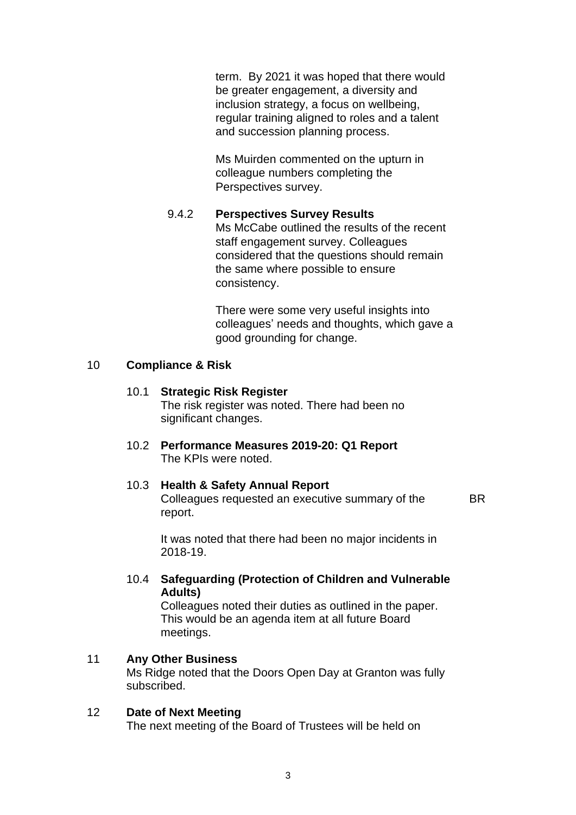term. By 2021 it was hoped that there would be greater engagement, a diversity and inclusion strategy, a focus on wellbeing, regular training aligned to roles and a talent and succession planning process.

Ms Muirden commented on the upturn in colleague numbers completing the Perspectives survey.

#### 9.4.2 **Perspectives Survey Results**

Ms McCabe outlined the results of the recent staff engagement survey. Colleagues considered that the questions should remain the same where possible to ensure consistency.

There were some very useful insights into colleagues' needs and thoughts, which gave a good grounding for change.

#### 10 **Compliance & Risk**

## 10.1 **Strategic Risk Register**

The risk register was noted. There had been no significant changes.

10.2 **Performance Measures 2019-20: Q1 Report** The KPIs were noted.

#### 10.3 **Health & Safety Annual Report**

Colleagues requested an executive summary of the report.

BR

It was noted that there had been no major incidents in 2018-19.

## 10.4 **Safeguarding (Protection of Children and Vulnerable Adults)**

Colleagues noted their duties as outlined in the paper. This would be an agenda item at all future Board meetings.

## 11 **Any Other Business**

Ms Ridge noted that the Doors Open Day at Granton was fully subscribed.

## 12 **Date of Next Meeting** The next meeting of the Board of Trustees will be held on